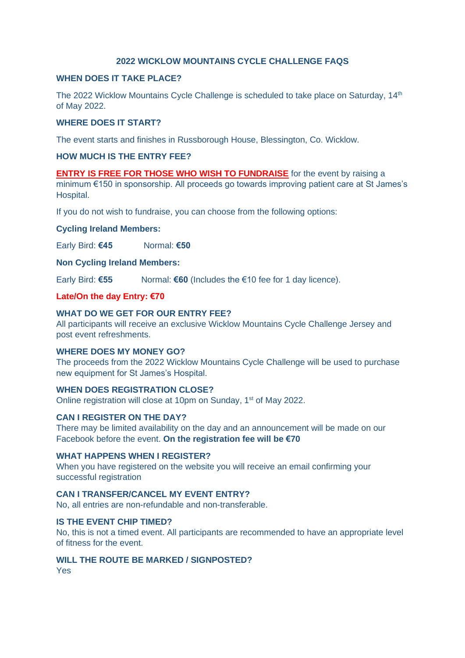# **2022 WICKLOW MOUNTAINS CYCLE CHALLENGE FAQS**

# **WHEN DOES IT TAKE PLACE?**

The 2022 Wicklow Mountains Cycle Challenge is scheduled to take place on Saturday, 14<sup>th</sup> of May 2022.

### **WHERE DOES IT START?**

The event starts and finishes in Russborough House, Blessington, Co. Wicklow.

# **HOW MUCH IS THE ENTRY FEE?**

**ENTRY IS FREE FOR THOSE WHO WISH TO FUNDRAISE** for the event by raising a minimum €150 in sponsorship. All proceeds go towards improving patient care at St James's Hospital.

If you do not wish to fundraise, you can choose from the following options:

### **Cycling Ireland Members:**

Early Bird: **€45** Normal: **€50**

### **Non Cycling Ireland Members:**

Early Bird: **€55** Normal: **€60** (Includes the €10 fee for 1 day licence).

### **Late/On the day Entry: €70**

### **WHAT DO WE GET FOR OUR ENTRY FEE?**

All participants will receive an exclusive Wicklow Mountains Cycle Challenge Jersey and post event refreshments.

### **WHERE DOES MY MONEY GO?**

The proceeds from the 2022 Wicklow Mountains Cycle Challenge will be used to purchase new equipment for St James's Hospital.

# **WHEN DOES REGISTRATION CLOSE?**

Online registration will close at 10pm on Sunday, 1<sup>st</sup> of May 2022.

### **CAN I REGISTER ON THE DAY?**

There may be limited availability on the day and an announcement will be made on our Facebook before the event. **On the registration fee will be €70**

### **WHAT HAPPENS WHEN I REGISTER?**

When you have registered on the website you will receive an email confirming your successful registration

# **CAN I TRANSFER/CANCEL MY EVENT ENTRY?**

No, all entries are non-refundable and non-transferable.

### **IS THE EVENT CHIP TIMED?**

No, this is not a timed event. All participants are recommended to have an appropriate level of fitness for the event.

# **WILL THE ROUTE BE MARKED / SIGNPOSTED?**

Yes